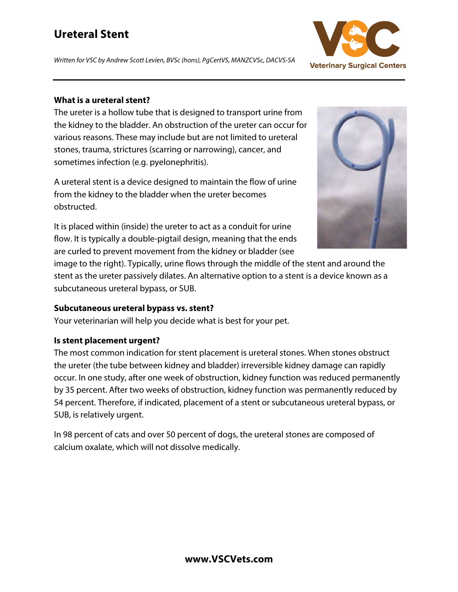# **Ureteral Stent**

*Written for VSC by Andrew Scott Levien, BVSc (hons), PgCertVS, MANZCVSc, DACVS-SA*



#### **What is a ureteral stent?**

The ureter is a hollow tube that is designed to transport urine from the kidney to the bladder. An obstruction of the ureter can occur for various reasons. These may include but are not limited to ureteral stones, trauma, strictures (scarring or narrowing), cancer, and sometimes infection (e.g. pyelonephritis).

A ureteral stent is a device designed to maintain the flow of urine from the kidney to the bladder when the ureter becomes obstructed.

It is placed within (inside) the ureter to act as a conduit for urine flow. It is typically a double-pigtail design, meaning that the ends are curled to prevent movement from the kidney or bladder (see

image to the right). Typically, urine flows through the middle of the stent and around the stent as the ureter passively dilates. An alternative option to a stent is a device known as a subcutaneous ureteral bypass, or SUB.

### **Subcutaneous ureteral bypass vs. stent?**

Your veterinarian will help you decide what is best for your pet.

### **Is stent placement urgent?**

The most common indication for stent placement is ureteral stones. When stones obstruct the ureter (the tube between kidney and bladder) irreversible kidney damage can rapidly occur. In one study, after one week of obstruction, kidney function was reduced permanently by 35 percent. After two weeks of obstruction, kidney function was permanently reduced by 54 percent. Therefore, if indicated, placement of a stent or subcutaneous ureteral bypass, or SUB, is relatively urgent.

In 98 percent of cats and over 50 percent of dogs, the ureteral stones are composed of calcium oxalate, which will not dissolve medically.